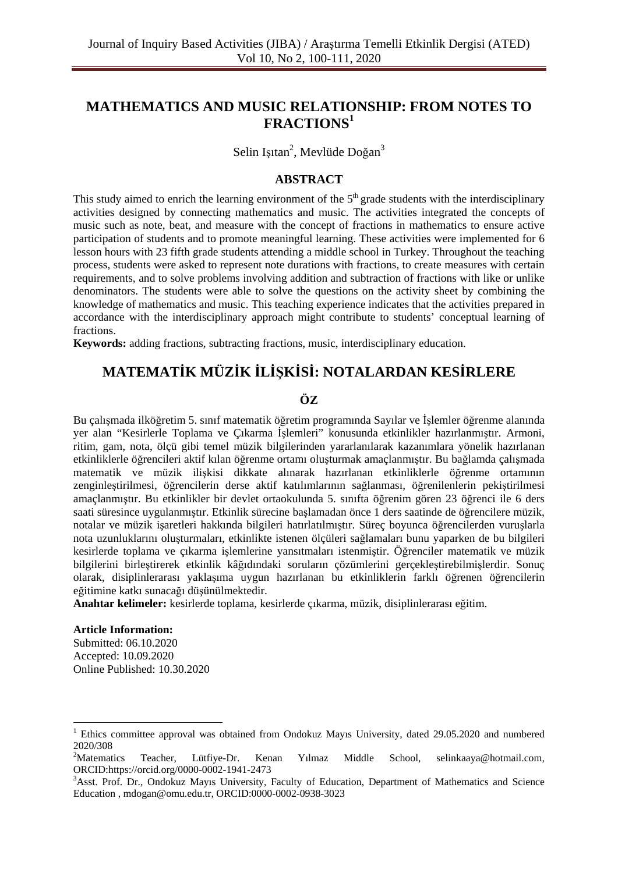# **MATHEMATICS AND MUSIC RELATIONSHIP: FROM NOTES TO FRACTIONS<sup>1</sup>**

Selin Işıtan<sup>2</sup>, Mevlüde Doğan<sup>3</sup>

### **ABSTRACT**

This study aimed to enrich the learning environment of the  $5<sup>th</sup>$  grade students with the interdisciplinary activities designed by connecting mathematics and music. The activities integrated the concepts of music such as note, beat, and measure with the concept of fractions in mathematics to ensure active participation of students and to promote meaningful learning. These activities were implemented for 6 lesson hours with 23 fifth grade students attending a middle school in Turkey. Throughout the teaching process, students were asked to represent note durations with fractions, to create measures with certain requirements, and to solve problems involving addition and subtraction of fractions with like or unlike denominators. The students were able to solve the questions on the activity sheet by combining the knowledge of mathematics and music. This teaching experience indicates that the activities prepared in accordance with the interdisciplinary approach might contribute to students' conceptual learning of fractions.

**Keywords:** adding fractions, subtracting fractions, music, interdisciplinary education.

# **MATEMATİK MÜZİK İLİŞKİSİ: NOTALARDAN KESİRLERE**

# **ÖZ**

Bu çalışmada ilköğretim 5. sınıf matematik öğretim programında Sayılar ve İşlemler öğrenme alanında yer alan "Kesirlerle Toplama ve Çıkarma İşlemleri" konusunda etkinlikler hazırlanmıştır. Armoni, ritim, gam, nota, ölçü gibi temel müzik bilgilerinden yararlanılarak kazanımlara yönelik hazırlanan etkinliklerle öğrencileri aktif kılan öğrenme ortamı oluşturmak amaçlanmıştır. Bu bağlamda çalışmada matematik ve müzik ilişkisi dikkate alınarak hazırlanan etkinliklerle öğrenme ortamının zenginleştirilmesi, öğrencilerin derse aktif katılımlarının sağlanması, öğrenilenlerin pekiştirilmesi amaçlanmıştır. Bu etkinlikler bir devlet ortaokulunda 5. sınıfta öğrenim gören 23 öğrenci ile 6 ders saati süresince uygulanmıştır. Etkinlik sürecine başlamadan önce 1 ders saatinde de öğrencilere müzik, notalar ve müzik işaretleri hakkında bilgileri hatırlatılmıştır. Süreç boyunca öğrencilerden vuruşlarla nota uzunluklarını oluşturmaları, etkinlikte istenen ölçüleri sağlamaları bunu yaparken de bu bilgileri kesirlerde toplama ve çıkarma işlemlerine yansıtmaları istenmiştir. Öğrenciler matematik ve müzik bilgilerini birleştirerek etkinlik kâğıdındaki soruların çözümlerini gerçekleştirebilmişlerdir. Sonuç olarak, disiplinlerarası yaklaşıma uygun hazırlanan bu etkinliklerin farklı öğrenen öğrencilerin eğitimine katkı sunacağı düşünülmektedir.

**Anahtar kelimeler:** kesirlerde toplama, kesirlerde çıkarma, müzik, disiplinlerarası eğitim.

### **Article Information:**

Submitted: 06.10.2020 Accepted: 10.09.2020 Online Published: 10.30.2020

<sup>1</sup> Ethics committee approval was obtained from Ondokuz Mayıs University, dated 29.05.2020 and numbered 2020/308

 $2$ Matematics Teacher, Lütfiye-Dr. Kenan Yılmaz Middle School, selinkaaya@hotmail.com, ORCID:https://orcid.org/0000-0002-1941-2473

<sup>&</sup>lt;sup>3</sup>Asst. Prof. Dr., Ondokuz Mayıs University, Faculty of Education, Department of Mathematics and Science Education , mdogan@omu.edu.tr, ORCID:0000-0002-0938-3023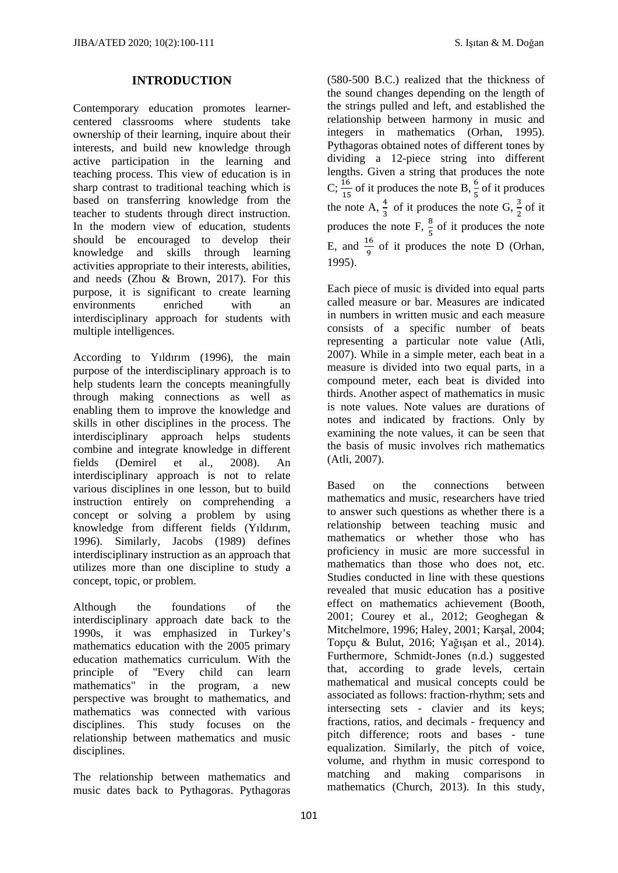### **INTRODUCTION**

Contemporary education promotes learnercentered classrooms where students take ownership of their learning, inquire about their interests, and build new knowledge through active participation in the learning and teaching process. This view of education is in sharp contrast to traditional teaching which is based on transferring knowledge from the teacher to students through direct instruction. In the modern view of education, students should be encouraged to develop their knowledge and skills through learning activities appropriate to their interests, abilities, and needs (Zhou & Brown, 2017). For this purpose, it is significant to create learning environments enriched with an interdisciplinary approach for students with multiple intelligences.

According to Yıldırım (1996), the main purpose of the interdisciplinary approach is to help students learn the concepts meaningfully through making connections as well as enabling them to improve the knowledge and skills in other disciplines in the process. The interdisciplinary approach helps students combine and integrate knowledge in different fields (Demirel et al., 2008). An interdisciplinary approach is not to relate various disciplines in one lesson, but to build instruction entirely on comprehending a concept or solving a problem by using knowledge from different fields (Yıldırım, 1996). Similarly, Jacobs (1989) defines interdisciplinary instruction as an approach that utilizes more than one discipline to study a concept, topic, or problem.

Although the foundations of the interdisciplinary approach date back to the 1990s, it was emphasized in Turkey's mathematics education with the 2005 primary education mathematics curriculum. With the principle of "Every child can learn mathematics" in the program, a new perspective was brought to mathematics, and mathematics was connected with various disciplines. This study focuses on the relationship between mathematics and music disciplines.

The relationship between mathematics and music dates back to Pythagoras. Pythagoras

(580-500 B.C.) realized that the thickness of the sound changes depending on the length of the strings pulled and left, and established the relationship between harmony in music and integers in mathematics (Orhan, 1995). Pythagoras obtained notes of different tones by dividing a 12-piece string into different lengths. Given a string that produces the note C;  $\frac{16}{15}$  of it produces the note B,  $\frac{6}{5}$  of it produces the note A,  $\frac{4}{3}$  of it produces the note G,  $\frac{3}{2}$  of it produces the note F,  $\frac{8}{5}$  of it produces the note E, and  $\frac{16}{9}$  of it produces the note D (Orhan, 1995).

Each piece of music is divided into equal parts called measure or bar. Measures are indicated in numbers in written music and each measure consists of a specific number of beats representing a particular note value (Atli, 2007). While in a simple meter, each beat in a measure is divided into two equal parts, in a compound meter, each beat is divided into thirds. Another aspect of mathematics in music is note values. Note values are durations of notes and indicated by fractions. Only by examining the note values, it can be seen that the basis of music involves rich mathematics (Atli, 2007).

Based on the connections between mathematics and music, researchers have tried to answer such questions as whether there is a relationship between teaching music and mathematics or whether those who has proficiency in music are more successful in mathematics than those who does not, etc. Studies conducted in line with these questions revealed that music education has a positive effect on mathematics achievement (Booth, 2001; Courey et al., 2012; Geoghegan & Mitchelmore, 1996; Haley, 2001; Karşal, 2004; Topçu & Bulut, 2016; Yağışan et al., 2014). Furthermore, Schmidt-Jones (n.d.) suggested that, according to grade levels, certain mathematical and musical concepts could be associated as follows: fraction-rhythm; sets and intersecting sets - clavier and its keys; fractions, ratios, and decimals - frequency and pitch difference; roots and bases - tune equalization. Similarly, the pitch of voice, volume, and rhythm in music correspond to matching and making comparisons in mathematics (Church, 2013). In this study,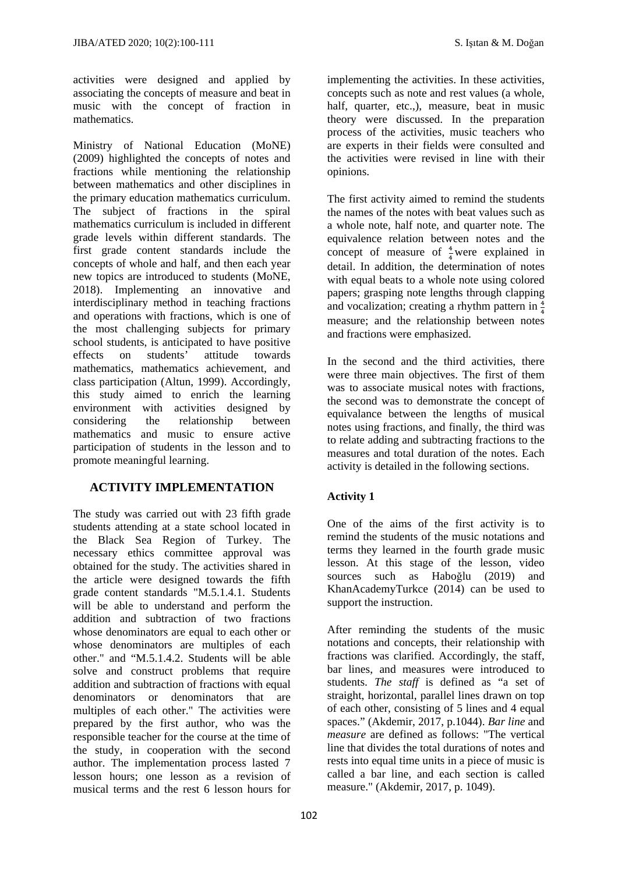activities were designed and applied by associating the concepts of measure and beat in music with the concept of fraction in mathematics.

Ministry of National Education (MoNE) (2009) highlighted the concepts of notes and fractions while mentioning the relationship between mathematics and other disciplines in the primary education mathematics curriculum. The subject of fractions in the spiral mathematics curriculum is included in different grade levels within different standards. The first grade content standards include the concepts of whole and half, and then each year new topics are introduced to students (MoNE, 2018). Implementing an innovative and interdisciplinary method in teaching fractions and operations with fractions, which is one of the most challenging subjects for primary school students, is anticipated to have positive effects on students' attitude towards mathematics, mathematics achievement, and class participation (Altun, 1999). Accordingly, this study aimed to enrich the learning environment with activities designed by considering the relationship between mathematics and music to ensure active participation of students in the lesson and to promote meaningful learning.

### **ACTIVITY IMPLEMENTATION**

The study was carried out with 23 fifth grade students attending at a state school located in the Black Sea Region of Turkey. The necessary ethics committee approval was obtained for the study. The activities shared in the article were designed towards the fifth grade content standards "M.5.1.4.1. Students will be able to understand and perform the addition and subtraction of two fractions whose denominators are equal to each other or whose denominators are multiples of each other." and "M.5.1.4.2. Students will be able solve and construct problems that require addition and subtraction of fractions with equal denominators or denominators that are multiples of each other." The activities were prepared by the first author, who was the responsible teacher for the course at the time of the study, in cooperation with the second author. The implementation process lasted 7 lesson hours; one lesson as a revision of musical terms and the rest 6 lesson hours for

implementing the activities. In these activities, concepts such as note and rest values (a whole, half, quarter, etc.,), measure, beat in music theory were discussed. In the preparation process of the activities, music teachers who are experts in their fields were consulted and the activities were revised in line with their opinions.

The first activity aimed to remind the students the names of the notes with beat values such as a whole note, half note, and quarter note. The equivalence relation between notes and the concept of measure of  $\frac{4}{4}$  were explained in detail. In addition, the determination of notes with equal beats to a whole note using colored papers; grasping note lengths through clapping and vocalization; creating a rhythm pattern in  $\frac{4}{4}$ measure; and the relationship between notes and fractions were emphasized.

In the second and the third activities, there were three main objectives. The first of them was to associate musical notes with fractions, the second was to demonstrate the concept of equivalance between the lengths of musical notes using fractions, and finally, the third was to relate adding and subtracting fractions to the measures and total duration of the notes. Each activity is detailed in the following sections.

### **Activity 1**

One of the aims of the first activity is to remind the students of the music notations and terms they learned in the fourth grade music lesson. At this stage of the lesson, video sources such as Haboğlu (2019) and KhanAcademyTurkce (2014) can be used to support the instruction.

After reminding the students of the music notations and concepts, their relationship with fractions was clarified. Accordingly, the staff, bar lines, and measures were introduced to students. *The staff* is defined as "a set of straight, horizontal, parallel lines drawn on top of each other, consisting of 5 lines and 4 equal spaces." (Akdemir, 2017, p.1044). *Bar line* and *measure* are defined as follows: "The vertical line that divides the total durations of notes and rests into equal time units in a piece of music is called a bar line, and each section is called measure." (Akdemir, 2017, p. 1049).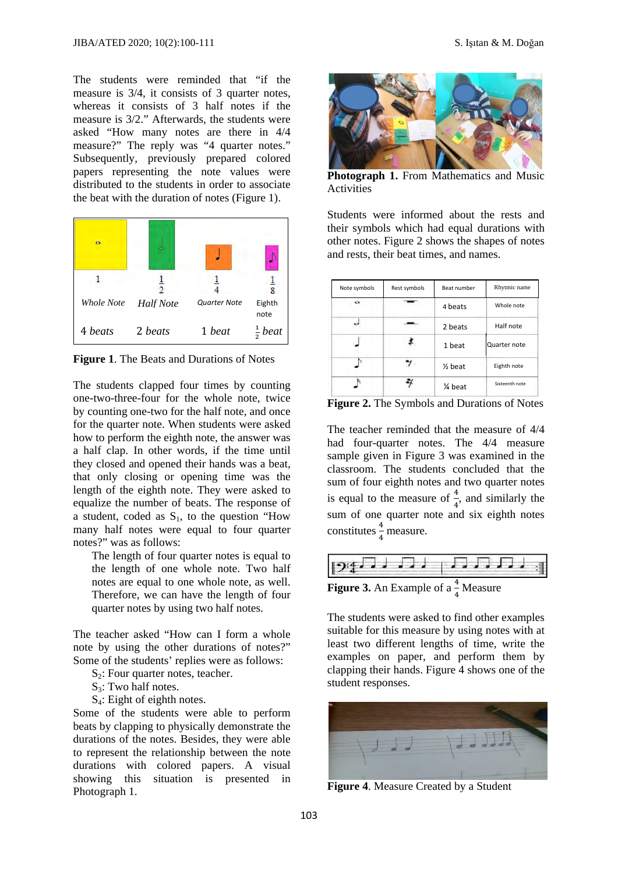The students were reminded that "if the measure is 3/4, it consists of 3 quarter notes, whereas it consists of 3 half notes if the measure is 3/2." Afterwards, the students were asked "How many notes are there in 4/4 measure?" The reply was "4 quarter notes." Subsequently, previously prepared colored papers representing the note values were distributed to the students in order to associate the beat with the duration of notes (Figure 1).



**Figure 1**. The Beats and Durations of Notes

The students clapped four times by counting one-two-three-four for the whole note, twice by counting one-two for the half note, and once for the quarter note. When students were asked how to perform the eighth note, the answer was a half clap. In other words, if the time until they closed and opened their hands was a beat, that only closing or opening time was the length of the eighth note. They were asked to equalize the number of beats. The response of a student, coded as  $S_1$ , to the question "How many half notes were equal to four quarter notes?" was as follows:

The length of four quarter notes is equal to the length of one whole note. Two half notes are equal to one whole note, as well. Therefore, we can have the length of four quarter notes by using two half notes.

The teacher asked "How can I form a whole note by using the other durations of notes?" Some of the students' replies were as follows:

S<sub>2</sub>: Four quarter notes, teacher.

- $S_3$ : Two half notes.
- S<sub>4</sub>: Eight of eighth notes.

Some of the students were able to perform beats by clapping to physically demonstrate the durations of the notes. Besides, they were able to represent the relationship between the note durations with colored papers. A visual showing this situation is presented in Photograph 1.



**Photograph 1.** From Mathematics and Music Activities

Students were informed about the rests and their symbols which had equal durations with other notes. Figure 2 shows the shapes of notes and rests, their beat times, and names.

| Note symbols | Rest symbols | Beat number        | Rhytmic name   |  |  |  |
|--------------|--------------|--------------------|----------------|--|--|--|
| 。            |              | 4 beats            | Whole note     |  |  |  |
| $\bullet$    |              | 2 beats            | Half note      |  |  |  |
|              |              | 1 beat             | Quarter note   |  |  |  |
|              |              | $\frac{1}{2}$ beat | Eighth note    |  |  |  |
|              |              | 1/4 beat           | Sixteenth note |  |  |  |

**Figure 2.** The Symbols and Durations of Notes

The teacher reminded that the measure of 4/4 had four-quarter notes. The 4/4 measure sample given in Figure 3 was examined in the classroom. The students concluded that the sum of four eighth notes and two quarter notes is equal to the measure of  $\frac{4}{4}$ , and similarly the sum of one quarter note and six eighth notes constitutes  $\frac{4}{4}$  measure.



**Figure 3.** An Example of  $a \frac{4}{4}$  Measure

The students were asked to find other examples suitable for this measure by using notes with at least two different lengths of time, write the examples on paper, and perform them by clapping their hands. Figure 4 shows one of the student responses.



**Figure 4**. Measure Created by a Student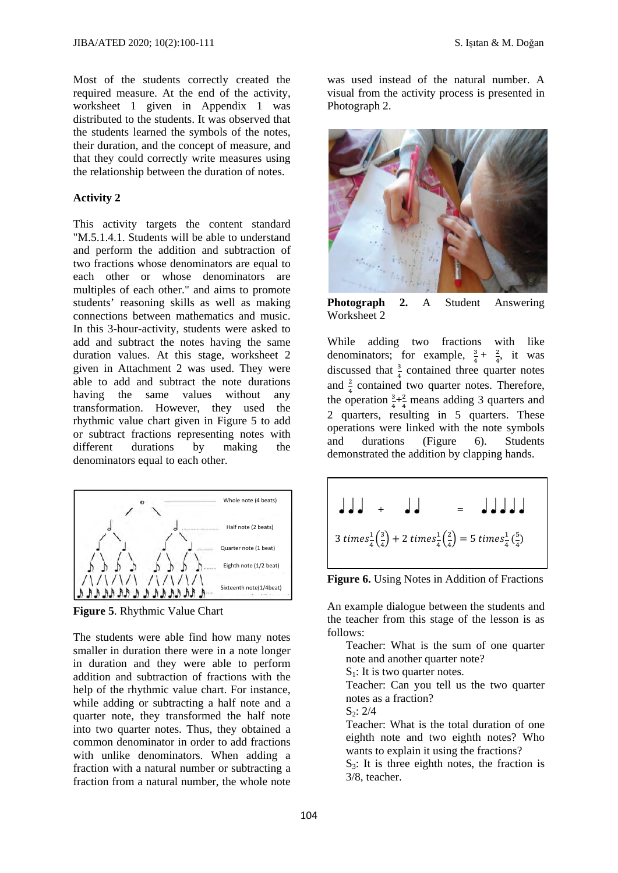Most of the students correctly created the required measure. At the end of the activity, worksheet 1 given in Appendix 1 was distributed to the students. It was observed that the students learned the symbols of the notes, their duration, and the concept of measure, and that they could correctly write measures using the relationship between the duration of notes.

### **Activity 2**

This activity targets the content standard "M.5.1.4.1. Students will be able to understand and perform the addition and subtraction of two fractions whose denominators are equal to each other or whose denominators are multiples of each other." and aims to promote students' reasoning skills as well as making connections between mathematics and music. In this 3-hour-activity, students were asked to add and subtract the notes having the same duration values. At this stage, worksheet 2 given in Attachment 2 was used. They were able to add and subtract the note durations having the same values without any transformation. However, they used the rhythmic value chart given in Figure 5 to add or subtract fractions representing notes with different durations by making the denominators equal to each other.



**Figure 5**. Rhythmic Value Chart

The students were able find how many notes smaller in duration there were in a note longer in duration and they were able to perform addition and subtraction of fractions with the help of the rhythmic value chart. For instance, while adding or subtracting a half note and a quarter note, they transformed the half note into two quarter notes. Thus, they obtained a common denominator in order to add fractions with unlike denominators. When adding a fraction with a natural number or subtracting a fraction from a natural number, the whole note

was used instead of the natural number. A visual from the activity process is presented in Photograph 2.



**Photograph 2.** A Student Answering Worksheet 2

While adding two fractions with like denominators; for example,  $\frac{3}{4} + \frac{2}{4}$ , it was discussed that  $\frac{3}{4}$  contained three quarter notes and  $\frac{2}{4}$  contained two quarter notes. Therefore, the operation  $\frac{3}{4} + \frac{2}{4}$  means adding 3 quarters and 2 quarters, resulting in 5 quarters. These operations were linked with the note symbols and durations (Figure 6). Students demonstrated the addition by clapping hands.

Whole note (4 beats)

\nHalf note (2 beats)

\nQuarter note (1 beat)

\n
$$
3 \times \left( \frac{1}{4} \right) + 2 \times \left( \frac{2}{4} \right) = 5 \times \left( \frac{5}{4} \right)
$$



An example dialogue between the students and the teacher from this stage of the lesson is as follows:

Teacher: What is the sum of one quarter note and another quarter note?

 $S<sub>1</sub>$ : It is two quarter notes.

Teacher: Can you tell us the two quarter notes as a fraction?

 $S_2$ : 2/4

Teacher: What is the total duration of one eighth note and two eighth notes? Who wants to explain it using the fractions?

 $S_3$ : It is three eighth notes, the fraction is 3/8, teacher.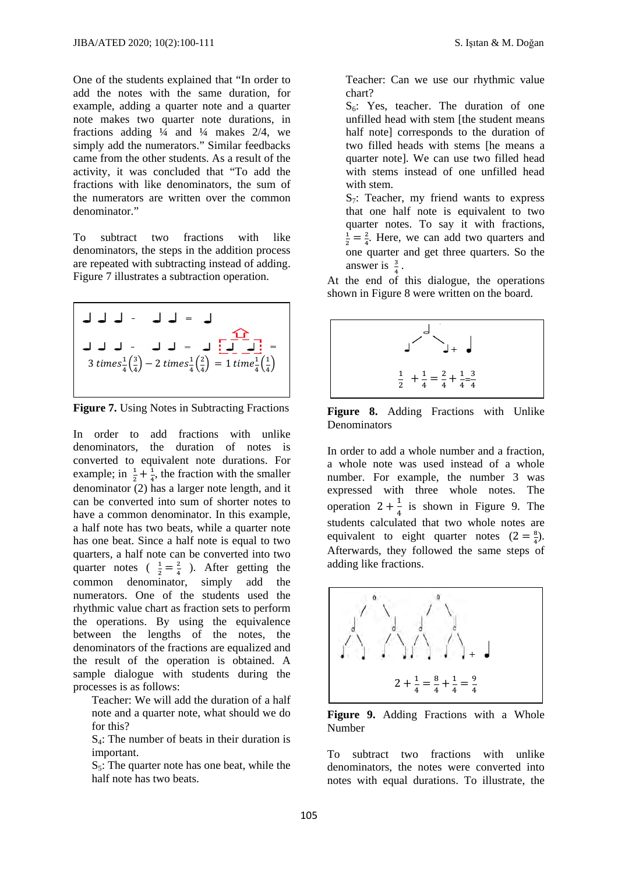One of the students explained that "In order to add the notes with the same duration, for example, adding a quarter note and a quarter note makes two quarter note durations, in fractions adding  $\frac{1}{4}$  and  $\frac{1}{4}$  makes 2/4, we simply add the numerators." Similar feedbacks came from the other students. As a result of the activity, it was concluded that "To add the fractions with like denominators, the sum of the numerators are written over the common denominator."

To subtract two fractions with like denominators, the steps in the addition process are repeated with subtracting instead of adding. Figure 7 illustrates a subtraction operation.

$$
\begin{array}{c|c|c|c|c|c} \n\hline\n\downarrow & \downarrow & \downarrow & \downarrow & \downarrow & = & \downarrow & \downarrow & = & \downarrow & \downarrow & \downarrow & = & \downarrow & \downarrow & \downarrow & \downarrow & \downarrow & \downarrow & \downarrow & \downarrow & \downarrow & \downarrow & \downarrow & \downarrow & \downarrow & \downarrow & \downarrow & \downarrow & \downarrow & \downarrow & \downarrow & \downarrow & \downarrow & \downarrow & \downarrow & \downarrow & \downarrow & \downarrow & \downarrow & \downarrow & \downarrow & \downarrow & \downarrow & \downarrow & \downarrow & \downarrow & \downarrow & \downarrow & \downarrow & \downarrow & \downarrow & \downarrow & \downarrow & \downarrow & \downarrow & \downarrow & \downarrow & \downarrow & \downarrow & \downarrow & \downarrow & \downarrow & \downarrow & \downarrow & \downarrow & \downarrow & \downarrow & \downarrow & \downarrow & \downarrow & \downarrow & \downarrow & \downarrow & \downarrow & \downarrow & \downarrow & \downarrow & \downarrow & \downarrow & \downarrow & \downarrow & \downarrow & \downarrow & \downarrow & \downarrow & \downarrow & \downarrow & \downarrow & \downarrow & \downarrow & \downarrow & \downarrow & \downarrow & \downarrow & \downarrow & \downarrow & \downarrow & \downarrow & \downarrow & \downarrow & \downarrow & \downarrow & \downarrow & \downarrow & \downarrow & \downarrow & \downarrow & \downarrow & \downarrow & \downarrow & \downarrow & \downarrow & \downarrow & \downarrow & \downarrow & \downarrow & \downarrow & \downarrow & \downarrow & \downarrow & \downarrow & \downarrow & \downarrow &
$$

**Figure 7.** Using Notes in Subtracting Fractions

In order to add fractions with unlike denominators, the duration of notes is converted to equivalent note durations. For example; in  $\frac{1}{2} + \frac{1}{4}$ , the fraction with the smaller denominator (2) has a larger note length, and it can be converted into sum of shorter notes to have a common denominator. In this example, a half note has two beats, while a quarter note has one beat. Since a half note is equal to two quarters, a half note can be converted into two quarter notes ( $\frac{1}{2} = \frac{2}{4}$ ). After getting the common denominator, simply add the numerators. One of the students used the rhythmic value chart as fraction sets to perform the operations. By using the equivalence between the lengths of the notes, the denominators of the fractions are equalized and the result of the operation is obtained. A sample dialogue with students during the processes is as follows:

Teacher: We will add the duration of a half note and a quarter note, what should we do for this?

S4: The number of beats in their duration is important.

 $S_5$ : The quarter note has one beat, while the half note has two beats.

Teacher: Can we use our rhythmic value chart?

 $S_6$ : Yes, teacher. The duration of one unfilled head with stem [the student means half note] corresponds to the duration of two filled heads with stems [he means a quarter note]. We can use two filled head with stems instead of one unfilled head with stem.

 $S_7$ : Teacher, my friend wants to express that one half note is equivalent to two quarter notes. To say it with fractions,  $\frac{1}{2} = \frac{2}{4}$ . Here, we can add two quarters and one quarter and get three quarters. So the answer is  $\frac{3}{4}$ .

At the end of this dialogue, the operations shown in Figure 8 were written on the board.



**Figure 8.** Adding Fractions with Unlike Denominators

In order to add a whole number and a fraction, a whole note was used instead of a whole number. For example, the number 3 was expressed with three whole notes. The operation  $2 + \frac{1}{4}$  is shown in Figure 9. The students calculated that two whole notes are equivalent to eight quarter notes  $(2 = \frac{8}{4})$ . Afterwards, they followed the same steps of adding like fractions.



**Figure 9.** Adding Fractions with a Whole Number

To subtract two fractions with unlike denominators, the notes were converted into notes with equal durations. To illustrate, the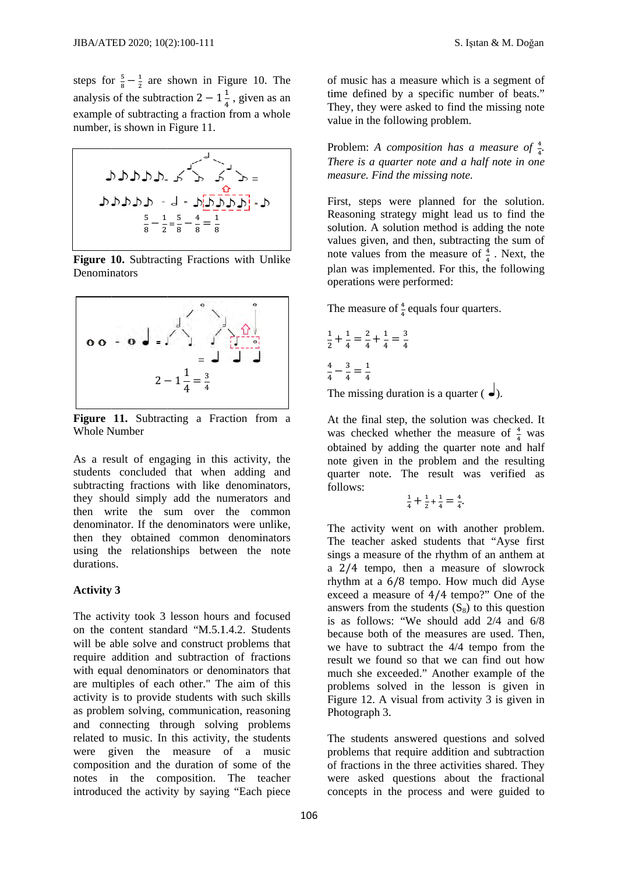steps for  $\frac{5}{8} - \frac{1}{2}$  are shown in Figure 10. The analysis of the subtraction  $2 - 1\frac{1}{4}$ , given as an example of subtracting a fraction from a whole number, is shown in Figure 11.



Figure 10. Subtracting Fractions with Unlike Denominators



Figure 11. Subtracting a Fraction from a **Whole Number** 

As a result of engaging in this activity, the students concluded that when adding and subtracting fractions with like denominators, they should simply add the numerators and then write the sum over the common denominator. If the denominators were unlike, then they obtained common denominators using the relationships between the note durations.

#### **Activity 3**

The activity took 3 lesson hours and focused on the content standard "M.5.1.4.2. Students will be able solve and construct problems that require addition and subtraction of fractions with equal denominators or denominators that are multiples of each other." The aim of this activity is to provide students with such skills as problem solving, communication, reasoning and connecting through solving problems related to music. In this activity, the students were given the measure of a music composition and the duration of some of the notes in the composition. The teacher introduced the activity by saying "Each piece

of music has a measure which is a segment of time defined by a specific number of beats." They, they were asked to find the missing note value in the following problem.

Problem: A composition has a measure of  $\frac{4}{4}$ . There is a quarter note and a half note in one measure. Find the missing note.

First, steps were planned for the solution. Reasoning strategy might lead us to find the solution. A solution method is adding the note values given, and then, subtracting the sum of note values from the measure of  $\frac{4}{4}$ . Next, the plan was implemented. For this, the following operations were performed:

The measure of  $\frac{4}{4}$  equals four quarters.

$$
\frac{1}{2} + \frac{1}{4} = \frac{2}{4} + \frac{1}{4} = \frac{3}{4}
$$
  

$$
\frac{4}{4} - \frac{3}{4} = \frac{1}{4}
$$

The missing duration is a quarter  $\left(\begin{array}{c} \bullet \\ \bullet \end{array}\right)$ .

At the final step, the solution was checked. It was checked whether the measure of  $\frac{4}{4}$  was obtained by adding the quarter note and half note given in the problem and the resulting quarter note. The result was verified as follows:

$$
\frac{1}{4} + \frac{1}{2} + \frac{1}{4} = \frac{4}{4}.
$$

The activity went on with another problem. The teacher asked students that "Ayse first sings a measure of the rhythm of an anthem at a 2/4 tempo, then a measure of slowrock rhythm at a 6/8 tempo. How much did Ayse exceed a measure of 4/4 tempo?" One of the answers from the students  $(S_8)$  to this question is as follows: "We should add  $2/4$  and  $6/8$ because both of the measures are used. Then, we have to subtract the  $4/4$  tempo from the result we found so that we can find out how much she exceeded." Another example of the problems solved in the lesson is given in Figure 12. A visual from activity 3 is given in Photograph 3.

The students answered questions and solved problems that require addition and subtraction of fractions in the three activities shared. They were asked questions about the fractional concepts in the process and were guided to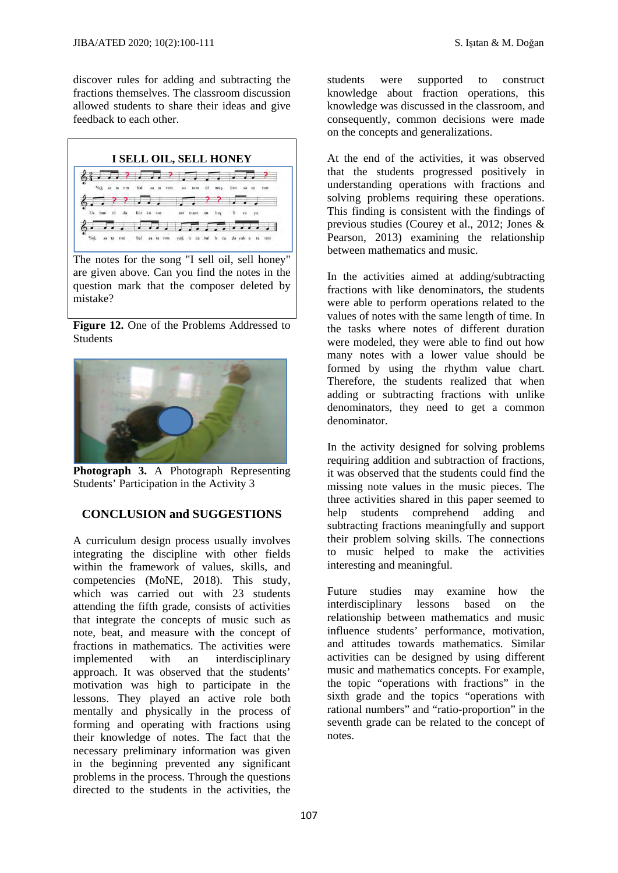discover rules for adding and subtracting the fractions themselves. The classroom discussion allowed students to share their ideas and give feedback to each other.



are given above. Can you find the notes in the question mark that the composer deleted by mistake?

**Figure 12.** One of the Problems Addressed to Students



**Photograph 3.** A Photograph Representing Students' Participation in the Activity 3

# **CONCLUSION and SUGGESTIONS**

A curriculum design process usually involves integrating the discipline with other fields within the framework of values, skills, and competencies (MoNE, 2018). This study, which was carried out with 23 students attending the fifth grade, consists of activities that integrate the concepts of music such as note, beat, and measure with the concept of fractions in mathematics. The activities were implemented with an interdisciplinary approach. It was observed that the students' motivation was high to participate in the lessons. They played an active role both mentally and physically in the process of forming and operating with fractions using their knowledge of notes. The fact that the necessary preliminary information was given in the beginning prevented any significant problems in the process. Through the questions directed to the students in the activities, the

students were supported to construct knowledge about fraction operations, this knowledge was discussed in the classroom, and consequently, common decisions were made on the concepts and generalizations.

At the end of the activities, it was observed that the students progressed positively in understanding operations with fractions and solving problems requiring these operations. This finding is consistent with the findings of previous studies (Courey et al., 2012; Jones & Pearson, 2013) examining the relationship between mathematics and music.

In the activities aimed at adding/subtracting fractions with like denominators, the students were able to perform operations related to the values of notes with the same length of time. In the tasks where notes of different duration were modeled, they were able to find out how many notes with a lower value should be formed by using the rhythm value chart. Therefore, the students realized that when adding or subtracting fractions with unlike denominators, they need to get a common denominator.

In the activity designed for solving problems requiring addition and subtraction of fractions, it was observed that the students could find the missing note values in the music pieces. The three activities shared in this paper seemed to help students comprehend adding and subtracting fractions meaningfully and support their problem solving skills. The connections to music helped to make the activities interesting and meaningful.

Future studies may examine how the interdisciplinary lessons based on the relationship between mathematics and music influence students' performance, motivation, and attitudes towards mathematics. Similar activities can be designed by using different music and mathematics concepts. For example, the topic "operations with fractions" in the sixth grade and the topics "operations with rational numbers" and "ratio-proportion" in the seventh grade can be related to the concept of notes.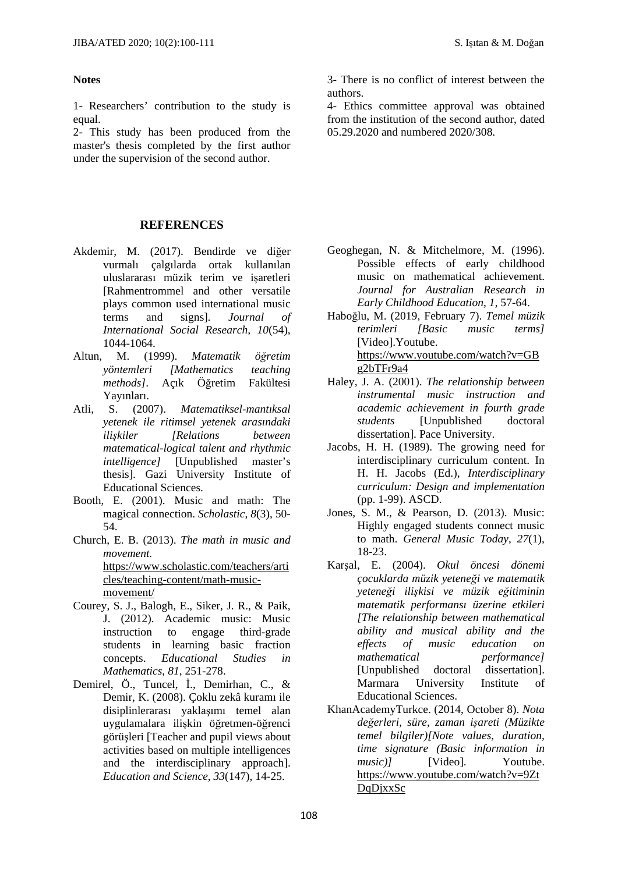#### **Notes**

1- Researchers' contribution to the study is equal.

2- This study has been produced from the master's thesis completed by the first author under the supervision of the second author.

### **REFERENCES**

- Akdemir, M. (2017). Bendirde ve diğer vurmalı çalgılarda ortak kullanılan uluslararası müzik terim ve işaretleri [Rahmentrommel and other versatile plays common used international music terms and signs]. *Journal of International Social Research, 10*(54), 1044-1064.
- Altun, M. (1999). *Matematik öğretim yöntemleri [Mathematics teaching methods]*. Açık Öğretim Fakültesi Yayınları.
- Atli, S. (2007). *Matematiksel-mantıksal yetenek ile ritimsel yetenek arasındaki ilişkiler [Relations between matematical-logical talent and rhythmic intelligence]* [Unpublished master's thesis]. Gazi University Institute of Educational Sciences.
- Booth, E. (2001). Music and math: The magical connection. *Scholastic*, *8*(3), 50- 54.
- Church, E. B. (2013). *The math in music and movement.*  https://www.scholastic.com/teachers/arti cles/teaching-content/math-musicmovement/
- Courey, S. J., Balogh, E., Siker, J. R., & Paik, J. (2012). Academic music: Music instruction to engage third-grade students in learning basic fraction concepts. *Educational Studies in Mathematics*, *81*, 251-278.
- Demirel, Ö., Tuncel, İ., Demirhan, C., & Demir, K. (2008). Çoklu zekâ kuramı ile disiplinlerarası yaklaşımı temel alan uygulamalara ilişkin öğretmen-öğrenci görüşleri [Teacher and pupil views about activities based on multiple intelligences and the interdisciplinary approach]. *Education and Science*, *33*(147), 14-25.

3- There is no conflict of interest between the authors.

4- Ethics committee approval was obtained from the institution of the second author, dated 05.29.2020 and numbered 2020/308.

- Geoghegan, N. & Mitchelmore, M. (1996). Possible effects of early childhood music on mathematical achievement. *Journal for Australian Research in Early Childhood Education*, *1*, 57-64.
- Haboğlu, M. (2019, February 7). *Temel müzik terimleri [Basic music terms]* [Video].Youtube. https://www.youtube.com/watch?v=GB g2bTFr9a4
- Haley, J. A. (2001). *The relationship between instrumental music instruction and academic achievement in fourth grade students* [Unpublished dissertation]. Pace University.
- Jacobs, H. H. (1989). The growing need for interdisciplinary curriculum content. In H. H. Jacobs (Ed.), *Interdisciplinary curriculum: Design and implementation*  (pp. 1-99). ASCD.
- Jones, S. M., & Pearson, D. (2013). Music: Highly engaged students connect music to math. *General Music Today*, *27*(1), 18-23.
- Karşal, E. (2004). *Okul öncesi dönemi çocuklarda müzik yeteneği ve matematik yeteneği ilişkisi ve müzik eğitiminin matematik performansı üzerine etkileri [The relationship between mathematical ability and musical ability and the effects of music education on mathematical performance]*  [Unpublished doctoral dissertation]. Marmara University Institute of Educational Sciences.
- KhanAcademyTurkce. (2014, October 8). *Nota değerleri, süre, zaman işareti (Müzikte temel bilgiler)[Note values, duration, time signature (Basic information in music*)*]* [Video]. Youtube. https://www.youtube.com/watch?v=9Zt DqDjxxSc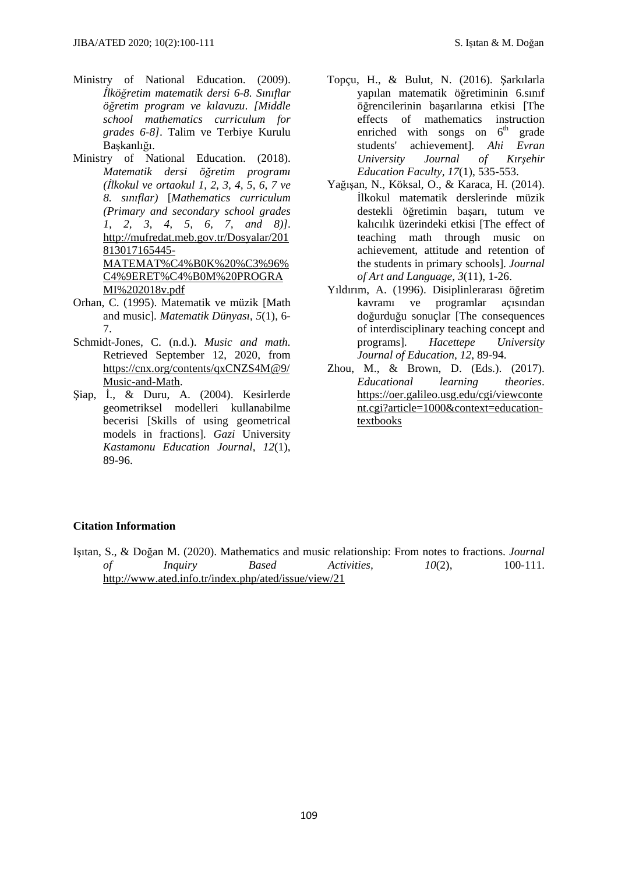- Ministry of National Education. (2009). *İlköğretim matematik dersi 6-8. Sınıflar öğretim program ve kılavuzu*. *[Middle school mathematics curriculum for grades 6-8]*. Talim ve Terbiye Kurulu Başkanlığı.
- Ministry of National Education. (2018). *Matematik dersi öğretim programı (İlkokul ve ortaokul 1, 2, 3, 4, 5, 6, 7 ve 8. sınıflar)* [*Mathematics curriculum (Primary and secondary school grades 1, 2, 3, 4, 5, 6, 7, and 8)]*. http://mufredat.meb.gov.tr/Dosyalar/201 813017165445- MATEMAT%C4%B0K%20%C3%96%

C4%9ERET%C4%B0M%20PROGRA MI%202018v.pdf

- Orhan, C. (1995). Matematik ve müzik [Math and music]. *Matematik Dünyası*, *5*(1), 6- 7.
- Schmidt-Jones, C. (n.d.). *Music and math.*  Retrieved September 12, 2020, from https://cnx.org/contents/qxCNZS4M@9/ Music-and-Math.
- Şiap, İ., & Duru, A. (2004). Kesirlerde geometriksel modelleri kullanabilme becerisi [Skills of using geometrical models in fractions]. *Gazi* University *Kastamonu Education Journal*, *12*(1), 89-96.
- Topçu, H., & Bulut, N. (2016). Şarkılarla yapılan matematik öğretiminin 6.sınıf öğrencilerinin başarılarına etkisi [The effects of mathematics instruction enriched with songs on  $6<sup>th</sup>$  grade students' achievement]. *Ahi Evran University Journal of Kırşehir Education Faculty, 17*(1), 535-553.
- Yağışan, N., Köksal, O., & Karaca, H. (2014). İlkokul matematik derslerinde müzik destekli öğretimin başarı, tutum ve kalıcılık üzerindeki etkisi [The effect of teaching math through music on achievement, attitude and retention of the students in primary schools]. *Journal of Art and Language*, *3*(11), 1-26.
- Yıldırım, A. (1996). Disiplinlerarası öğretim kavramı ve programlar açısından doğurduğu sonuçlar [The consequences of interdisciplinary teaching concept and programs]. *Hacettepe University Journal of Education*, *12*, 89-94.
- Zhou, M., & Brown, D. (Eds.). (2017). *Educational learning theories*. https://oer.galileo.usg.edu/cgi/viewconte nt.cgi?article=1000&context=educationtextbooks

### **Citation Information**

Işıtan, S., & Doğan M. (2020). Mathematics and music relationship: From notes to fractions. *Journal of Inquiry Based Activities, 10*(2), 100-111. http://www.ated.info.tr/index.php/ated/issue/view/21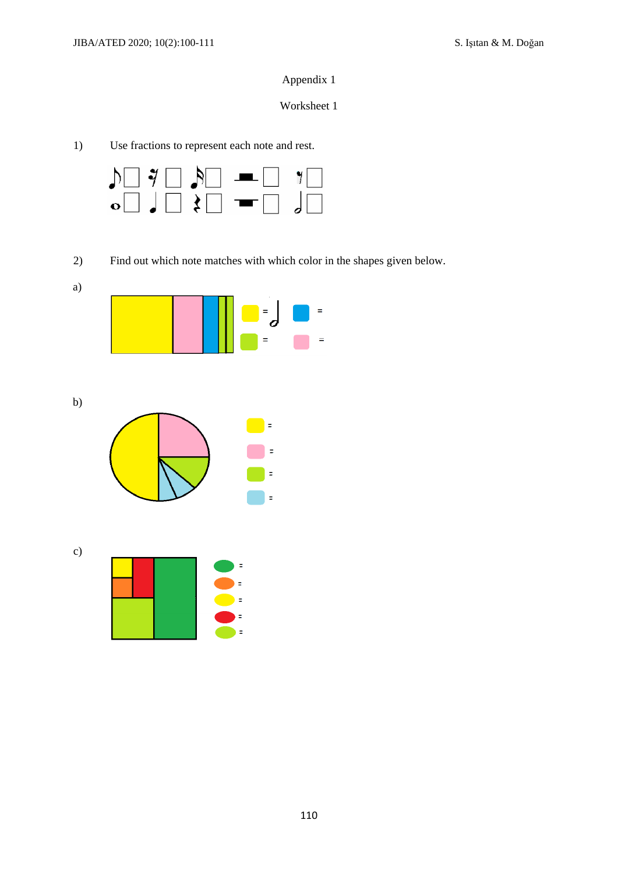# Appendix 1

### Worksheet 1

 $1)$ Use fractions to represent each note and rest.



 $2)$ Find out which note matches with which color in the shapes given below.



 $b)$ 



 $c)$